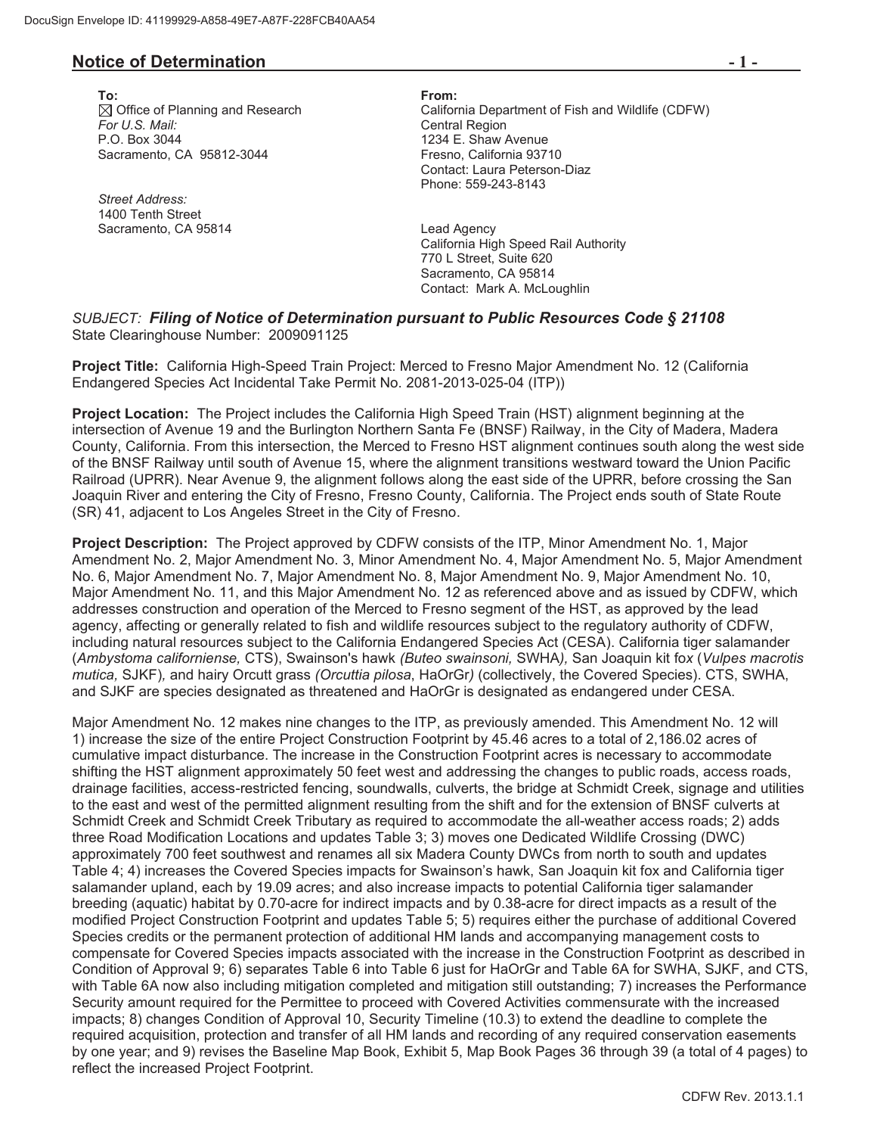## **Notice of Determination**  $-1$  -

**To: From:**  *For U.S. Mail:* Central Region P.O. Box 3044 1234 E. Shaw Avenue Sacramento, CA 95812-3044 Fresno, California 93710

*Street Address:*  1400 Tenth Street Sacramento, CA 95814 **Lead Agency** 

Office of Planning and Research California Department of Fish and Wildlife (CDFW) Contact: Laura Peterson-Diaz Phone: 559-243-8143

> California High Speed Rail Authority 770 L Street, Suite 620 Sacramento, CA 95814 Contact: Mark A. McLoughlin

## *SUBJECT: Filing of Notice of Determination pursuant to Public Resources Code § 21108* State Clearinghouse Number: 2009091125

**Project Title:** California High-Speed Train Project: Merced to Fresno Major Amendment No. 12 (California Endangered Species Act Incidental Take Permit No. 2081-2013-025-04 (ITP))

**Project Location:** The Project includes the California High Speed Train (HST) alignment beginning at the intersection of Avenue 19 and the Burlington Northern Santa Fe (BNSF) Railway, in the City of Madera, Madera County, California. From this intersection, the Merced to Fresno HST alignment continues south along the west side of the BNSF Railway until south of Avenue 15, where the alignment transitions westward toward the Union Pacific Railroad (UPRR). Near Avenue 9, the alignment follows along the east side of the UPRR, before crossing the San Joaquin River and entering the City of Fresno, Fresno County, California. The Project ends south of State Route (SR) 41, adjacent to Los Angeles Street in the City of Fresno.

**Project Description:** The Project approved by CDFW consists of the ITP, Minor Amendment No. 1, Major Amendment No. 2, Major Amendment No. 3, Minor Amendment No. 4, Major Amendment No. 5, Major Amendment No. 6, Major Amendment No. 7, Major Amendment No. 8, Major Amendment No. 9, Major Amendment No. 10, Major Amendment No. 11, and this Major Amendment No. 12 as referenced above and as issued by CDFW, which addresses construction and operation of the Merced to Fresno segment of the HST, as approved by the lead agency, affecting or generally related to fish and wildlife resources subject to the regulatory authority of CDFW, including natural resources subject to the California Endangered Species Act (CESA). California tiger salamander (*Ambystoma californiense,* CTS), Swainson's hawk *(Buteo swainsoni,* SWHA*),* San Joaquin kit fo*x* (*Vulpes macrotis mutica,* SJKF)*,* and hairy Orcutt grass *(Orcuttia pilosa*, HaOrGr*)* (collectively, the Covered Species). CTS, SWHA, and SJKF are species designated as threatened and HaOrGr is designated as endangered under CESA.

Major Amendment No. 12 makes nine changes to the ITP, as previously amended. This Amendment No. 12 will 1) increase the size of the entire Project Construction Footprint by 45.46 acres to a total of 2,186.02 acres of cumulative impact disturbance. The increase in the Construction Footprint acres is necessary to accommodate shifting the HST alignment approximately 50 feet west and addressing the changes to public roads, access roads, drainage facilities, access-restricted fencing, soundwalls, culverts, the bridge at Schmidt Creek, signage and utilities to the east and west of the permitted alignment resulting from the shift and for the extension of BNSF culverts at Schmidt Creek and Schmidt Creek Tributary as required to accommodate the all-weather access roads; 2) adds three Road Modification Locations and updates Table 3; 3) moves one Dedicated Wildlife Crossing (DWC) approximately 700 feet southwest and renames all six Madera County DWCs from north to south and updates Table 4; 4) increases the Covered Species impacts for Swainson's hawk, San Joaquin kit fox and California tiger salamander upland, each by 19.09 acres; and also increase impacts to potential California tiger salamander breeding (aquatic) habitat by 0.70-acre for indirect impacts and by 0.38-acre for direct impacts as a result of the modified Project Construction Footprint and updates Table 5; 5) requires either the purchase of additional Covered Species credits or the permanent protection of additional HM lands and accompanying management costs to compensate for Covered Species impacts associated with the increase in the Construction Footprint as described in Condition of Approval 9; 6) separates Table 6 into Table 6 just for HaOrGr and Table 6A for SWHA, SJKF, and CTS, with Table 6A now also including mitigation completed and mitigation still outstanding; 7) increases the Performance Security amount required for the Permittee to proceed with Covered Activities commensurate with the increased impacts; 8) changes Condition of Approval 10, Security Timeline (10.3) to extend the deadline to complete the required acquisition, protection and transfer of all HM lands and recording of any required conservation easements by one year; and 9) revises the Baseline Map Book, Exhibit 5, Map Book Pages 36 through 39 (a total of 4 pages) to reflect the increased Project Footprint.